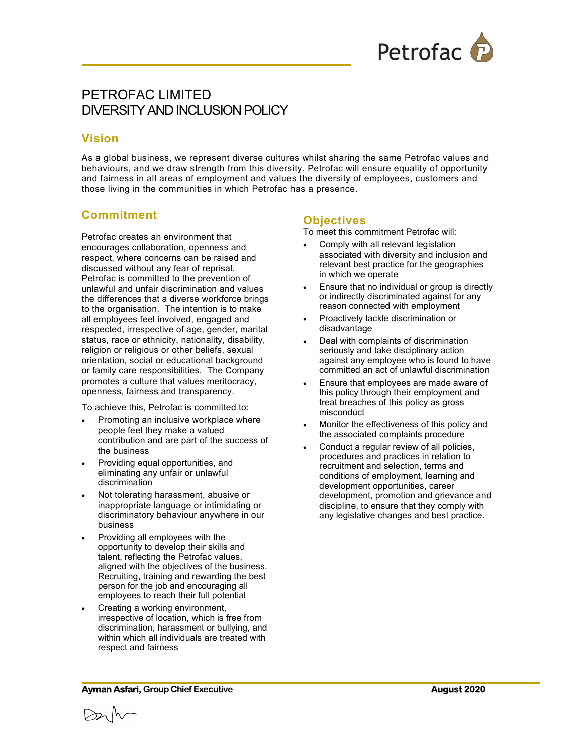

# PETROFAC LIMITED DIVERSITY AND INCLUSION POLICY

#### Vision

As a global business, we represent diverse cultures whilst sharing the same Petrofac values and behaviours, and we draw strength from this diversity. Petrofac will ensure equality of opportunity and fairness in all areas of employment and values the diversity of employees, customers and those living in the communities in which Petrofac has a presence.

### Commitment

Petrofac creates an environment that encourages collaboration, openness and respect, where concerns can be raised and discussed without any fear of reprisal. Petrofac is committed to the prevention of unlawful and unfair discrimination and values the differences that a diverse workforce brings to the organisation. The intention is to make all employees feel involved, engaged and respected, irrespective of age, gender, marital status, race or ethnicity, nationality, disability, religion or religious or other beliefs, sexual orientation, social or educational background or family care responsibilities. The Company promotes a culture that values meritocracy, openness, fairness and transparency.

To achieve this, Petrofac is committed to:

- Promoting an inclusive workplace where people feel they make a valued contribution and are part of the success of the business
- Providing equal opportunities, and eliminating any unfair or unlawful discrimination
- Not tolerating harassment, abusive or inappropriate language or intimidating or discriminatory behaviour anywhere in our business
- Providing all employees with the opportunity to develop their skills and talent, reflecting the Petrofac values, aligned with the objectives of the business. Recruiting, training and rewarding the best person for the job and encouraging all employees to reach their full potential
- Creating a working environment, irrespective of location, which is free from discrimination, harassment or bullying, and within which all individuals are treated with respect and fairness

#### **Objectives**

To meet this commitment Petrofac will:

- Comply with all relevant legislation associated with diversity and inclusion and relevant best practice for the geographies in which we operate
- Ensure that no individual or group is directly or indirectly discriminated against for any reason connected with employment
- Proactively tackle discrimination or disadvantage
- Deal with complaints of discrimination seriously and take disciplinary action against any employee who is found to have committed an act of unlawful discrimination
- Ensure that employees are made aware of this policy through their employment and treat breaches of this policy as gross misconduct
- Monitor the effectiveness of this policy and the associated complaints procedure
- Conduct a regular review of all policies. procedures and practices in relation to recruitment and selection, terms and conditions of employment, learning and development opportunities, career development, promotion and grievance and discipline, to ensure that they comply with any legislative changes and best practice.

Ayman Asfari, Group Chief Executive August 2020